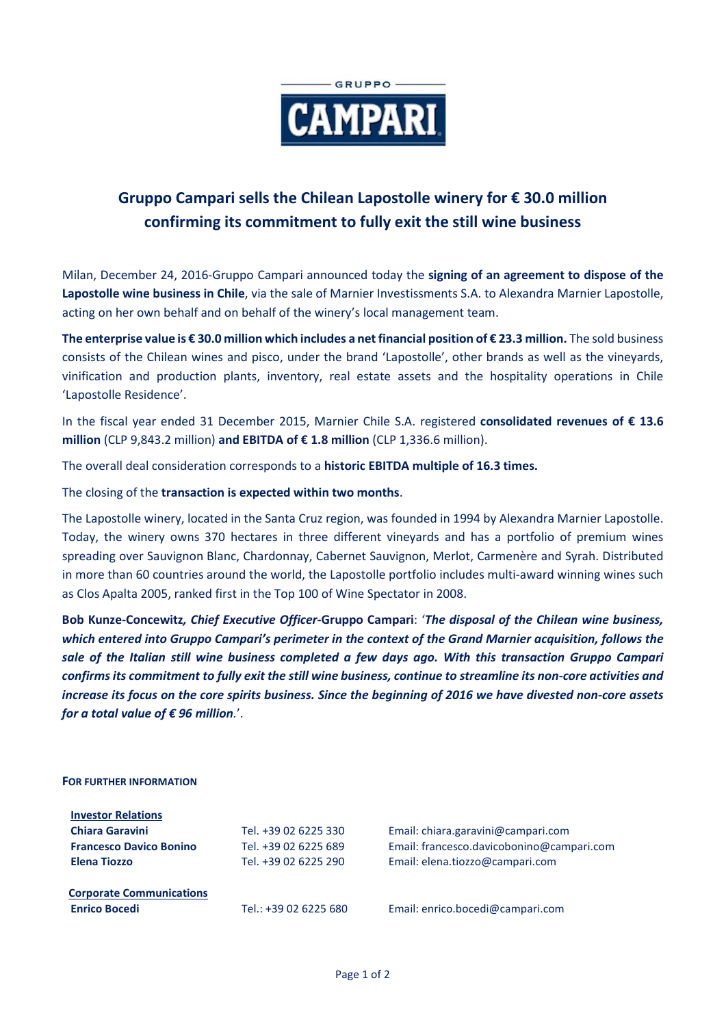

## **Gruppo Campari sells the Chilean Lapostolle winery for € 30.0 million confirming its commitment to fully exit the still wine business**

Milan, December 24, 2016-Gruppo Campari announced today the **signing of an agreement to dispose of the Lapostolle wine business in Chile**, via the sale of Marnier Investissments S.A. to Alexandra Marnier Lapostolle, acting on her own behalf and on behalf of the winery's local management team.

**The enterprise value is € 30.0 million which includes a net financial position of € 23.3 million.** The sold business consists of the Chilean wines and pisco, under the brand 'Lapostolle', other brands as well as the vineyards, vinification and production plants, inventory, real estate assets and the hospitality operations in Chile 'Lapostolle Residence'.

In the fiscal year ended 31 December 2015, Marnier Chile S.A. registered **consolidated revenues of € 13.6 million** (CLP 9,843.2 million) **and EBITDA of € 1.8 million** (CLP 1,336.6 million).

The overall deal consideration corresponds to a **historic EBITDA multiple of 16.3 times.**

The closing of the **transaction is expected within two months**.

The Lapostolle winery, located in the Santa Cruz region, was founded in 1994 by Alexandra Marnier Lapostolle. Today, the winery owns 370 hectares in three different vineyards and has a portfolio of premium wines spreading over Sauvignon Blanc, Chardonnay, Cabernet Sauvignon, Merlot, Carmenère and Syrah. Distributed in more than 60 countries around the world, the Lapostolle portfolio includes multi-award winning wines such as Clos Apalta 2005, ranked first in the Top 100 of Wine Spectator in 2008.

**Bob Kunze-Concewitz***, Chief Executive Officer***-Gruppo Campari**: '*The disposal of the Chilean wine business, which entered into Gruppo Campari's perimeter in the context of the Grand Marnier acquisition, follows the sale of the Italian still wine business completed a few days ago. With this transaction Gruppo Campari confirms its commitment to fully exit the still wine business, continue to streamline its non-core activities and increase its focus on the core spirits business. Since the beginning of 2016 we have divested non-core assets for a total value of € 96 million.*'.

## **FOR FURTHER INFORMATION**

| <b>Investor Relations</b>       |                       |                                           |
|---------------------------------|-----------------------|-------------------------------------------|
| <b>Chiara Garavini</b>          | Tel. +39 02 6225 330  | Email: chiara.garavini@campari.com        |
| <b>Francesco Davico Bonino</b>  | Tel. +39 02 6225 689  | Email: francesco.davicobonino@campari.com |
| <b>Elena Tiozzo</b>             | Tel. +39 02 6225 290  | Email: elena.tiozzo@campari.com           |
| <b>Corporate Communications</b> |                       |                                           |
| <b>Enrico Bocedi</b>            | Tel.: +39 02 6225 680 | Email: enrico.bocedi@campari.com          |